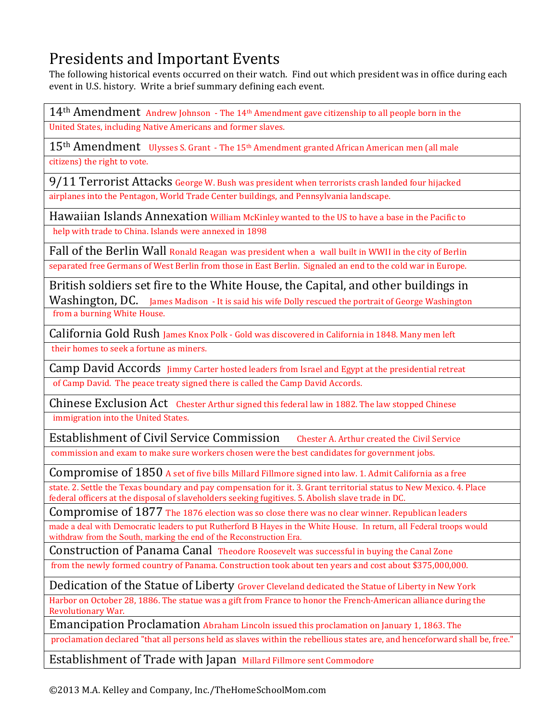## Presidents and Important Events

The following historical events occurred on their watch. Find out which president was in office during each event in U.S. history. Write a brief summary defining each event.

 $14$ <sup>th</sup> Amendment Andrew Johnson - The 14<sup>th</sup> Amendment gave citizenship to all people born in the United States, including Native Americans and former slaves.

15<sup>th</sup> Amendment Ulysses S. Grant - The 15<sup>th</sup> Amendment granted African American men (all male citizens) the right to vote.

9/11 Terrorist Attacks George W. Bush was president when terrorists crash landed four hijacked airplanes into the Pentagon, World Trade Center buildings, and Pennsylvania landscape.

Hawaiian Islands Annexation William McKinley wanted to the US to have a base in the Pacific to help with trade to China. Islands were annexed in 1898

Fall of the Berlin Wall Ronald Reagan was president when a wall built in WWII in the city of Berlin separated free Germans of West Berlin from those in East Berlin. Signaled an end to the cold war in Europe.

British soldiers set fire to the White House, the Capital, and other buildings in Washington, DC. James Madison - It is said his wife Dolly rescued the portrait of George Washington from a burning White House.

California Gold Rush James Knox Polk - Gold was discovered in California in 1848. Many men left

their homes to seek a fortune as miners.

Camp David Accords Jimmy Carter hosted leaders from Israel and Egypt at the presidential retreat

of Camp David. The peace treaty signed there is called the Camp David Accords.

Chinese Exclusion Act Chester Arthur signed this federal law in 1882. The law stopped Chinese immigration into the United States.

Establishment of Civil Service Commission Chester A. Arthur created the Civil Service

commission and exam to make sure workers chosen were the best candidates for government jobs.

Compromise of 1850 A set of five bills Millard Fillmore signed into law. 1. Admit California as a free

state. 2. Settle the Texas boundary and pay compensation for it. 3. Grant territorial status to New Mexico. 4. Place federal officers at the disposal of slaveholders seeking fugitives. 5. Abolish slave trade in DC.

Compromise of 1877 The 1876 election was so close there was no clear winner. Republican leaders

made a deal with Democratic leaders to put Rutherford B Hayes in the White House. In return, all Federal troops would withdraw from the South, marking the end of the Reconstruction Era.

Construction of Panama Canal Theodore Roosevelt was successful in buying the Canal Zone

from the newly formed country of Panama. Construction took about ten years and cost about \$375,000,000.

Dedication of the Statue of Liberty Grover Cleveland dedicated the Statue of Liberty in New York

Harbor on October 28, 1886. The statue was a gift from France to honor the French-American alliance during the Revolutionary War.

Emancipation Proclamation Abraham Lincoln issued this proclamation on January 1, 1863. The

proclamation declared "that all persons held as slaves within the rebellious states are, and henceforward shall be, free."

Establishment of Trade with Japan Millard Fillmore sent Commodore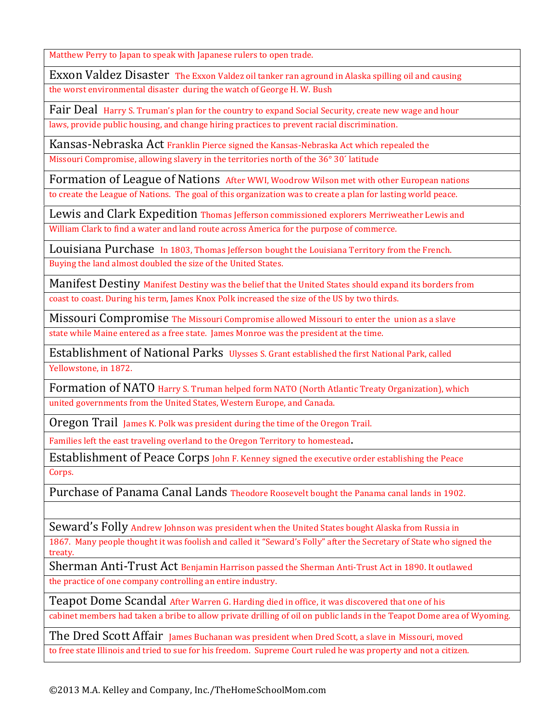Matthew Perry to Japan to speak with Japanese rulers to open trade.

Exxon Valdez Disaster The Exxon Valdez oil tanker ran aground in Alaska spilling oil and causing the worst environmental disaster during the watch of George H. W. Bush

Fair Deal Harry S. Truman's plan for the country to expand Social Security, create new wage and hour laws, provide public housing, and change hiring practices to prevent racial discrimination.

Kansas-Nebraska Act Franklin Pierce signed the Kansas-Nebraska Act which repealed the

Missouri Compromise, allowing slavery in the territories north of the 36° 30' latitude

Formation of League of Nations After WWI, Woodrow Wilson met with other European nations

to create the League of Nations. The goal of this organization was to create a plan for lasting world peace.

Lewis and Clark Expedition Thomas Jefferson commissioned explorers Merriweather Lewis and

William Clark to find a water and land route across America for the purpose of commerce.

Louisiana Purchase In 1803, Thomas Jefferson bought the Louisiana Territory from the French.

Buying the land almost doubled the size of the United States.

**Manifest Destiny Manifest Destiny was the belief that the United States should expand its borders from** coast to coast. During his term, James Knox Polk increased the size of the US by two thirds.

Missouri Compromise The Missouri Compromise allowed Missouri to enter the union as a slave state while Maine entered as a free state. James Monroe was the president at the time.

Establishment of National Parks Ulysses S. Grant established the first National Park, called Yellowstone, in 1872.

Formation of NATO Harry S. Truman helped form NATO (North Atlantic Treaty Organization), which united governments from the United States, Western Europe, and Canada.

Oregon Trail James K. Polk was president during the time of the Oregon Trail.

Families left the east traveling overland to the Oregon Territory to homestead.

Establishment of Peace Corps John F. Kenney signed the executive order establishing the Peace Corps.

Purchase of Panama Canal Lands Theodore Roosevelt bought the Panama canal lands in 1902.

Seward's Folly Andrew Johnson was president when the United States bought Alaska from Russia in

1867. Many people thought it was foolish and called it "Seward's Folly" after the Secretary of State who signed the treaty.

Sherman Anti-Trust Act Benjamin Harrison passed the Sherman Anti-Trust Act in 1890. It outlawed

the practice of one company controlling an entire industry.

Teapot Dome Scandal After Warren G. Harding died in office, it was discovered that one of his

cabinet members had taken a bribe to allow private drilling of oil on public lands in the Teapot Dome area of Wyoming.

The Dred Scott Affair James Buchanan was president when Dred Scott, a slave in Missouri, moved

to free state Illinois and tried to sue for his freedom. Supreme Court ruled he was property and not a citizen.